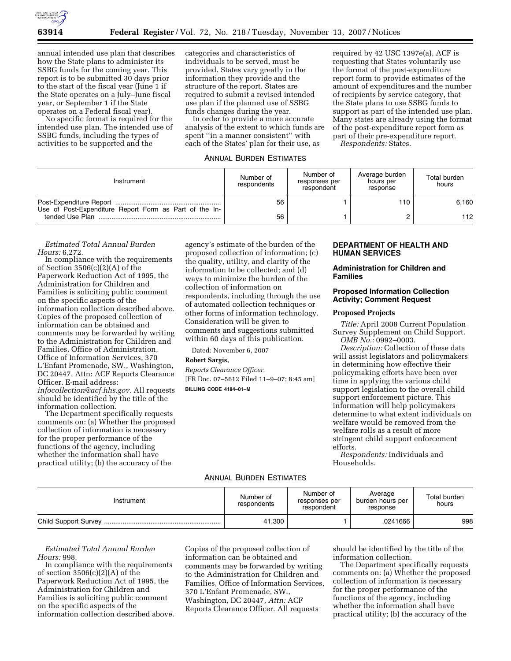

annual intended use plan that describes how the State plans to administer its SSBG funds for the coming year. This report is to be submitted 30 days prior to the start of the fiscal year (June 1 if the State operates on a July–June fiscal year, or September 1 if the State operates on a Federal fiscal year).

No specific format is required for the intended use plan. The intended use of SSBG funds, including the types of activities to be supported and the

categories and characteristics of individuals to be served, must be provided. States vary greatly in the information they provide and the structure of the report. States are required to submit a revised intended use plan if the planned use of SSBG funds changes during the year.

In order to provide a more accurate analysis of the extent to which funds are spent ''in a manner consistent'' with each of the States' plan for their use, as

#### ANNUAL BURDEN ESTIMATES

required by 42 USC 1397e(a), ACF is requesting that States voluntarily use the format of the post-expenditure report form to provide estimates of the amount of expenditures and the number of recipients by service category, that the State plans to use SSBG funds to support as part of the intended use plan. Many states are already using the format of the post-expenditure report form as part of their pre-expenditure report.

*Respondents:* States.

| Instrument                                             | Number of<br>respondents | Number of<br>responses per<br>respondent | Average burden<br>hours per<br>response | Total burden<br>hours |
|--------------------------------------------------------|--------------------------|------------------------------------------|-----------------------------------------|-----------------------|
| Use of Post-Expenditure Report Form as Part of the In- | 56                       |                                          | 110                                     | 6.160                 |
|                                                        | 56                       |                                          |                                         | 112                   |

### *Estimated Total Annual Burden Hours:* 6,272.

In compliance with the requirements of Section 3506(c)(2)(A) of the Paperwork Reduction Act of 1995, the Administration for Children and Families is soliciting public comment on the specific aspects of the information collection described above. Copies of the proposed collection of information can be obtained and comments may be forwarded by writing to the Administration for Children and Families, Office of Administration, Office of Information Services, 370 L'Enfant Promenade, SW., Washington, DC 20447, Attn: ACF Reports Clearance Officer. E-mail address: *infocollection@acf.hhs.gov.* All requests should be identified by the title of the information collection.

The Department specifically requests comments on: (a) Whether the proposed collection of information is necessary for the proper performance of the functions of the agency, including whether the information shall have practical utility; (b) the accuracy of the

agency's estimate of the burden of the proposed collection of information; (c) the quality, utility, and clarity of the information to be collected; and (d) ways to minimize the burden of the collection of information on respondents, including through the use of automated collection techniques or other forms of information technology. Consideration will be given to comments and suggestions submitted within 60 days of this publication.

Dated: November 6, 2007

### **Robert Sargis,**

*Reports Clearance Officer.*  [FR Doc. 07–5612 Filed 11–9–07; 8:45 am] **BILLING CODE 4184–01–M** 

# **DEPARTMENT OF HEALTH AND HUMAN SERVICES**

# **Administration for Children and Families**

## **Proposed Information Collection Activity; Comment Request**

#### **Proposed Projects**

*Title:* April 2008 Current Population Survey Supplement on Child Support. *OMB No.:* 0992–0003.

*Description:* Collection of these data will assist legislators and policymakers in determining how effective their policymaking efforts have been over time in applying the various child support legislation to the overall child support enforcement picture. This information will help policymakers determine to what extent individuals on welfare would be removed from the welfare rolls as a result of more stringent child support enforcement efforts.

*Respondents:* Individuals and Households.

# ANNUAL BURDEN ESTIMATES

| Instrument           | Number of<br>respondents | Number of<br>responses per<br>respondent | Average<br>burden hours per<br>response | Total burden<br>hours |
|----------------------|--------------------------|------------------------------------------|-----------------------------------------|-----------------------|
| Child Support Survey | 41,300                   |                                          | .0241666                                | 998                   |

*Estimated Total Annual Burden Hours:* 998.

In compliance with the requirements of section  $3506(c)(2)(A)$  of the Paperwork Reduction Act of 1995, the Administration for Children and Families is soliciting public comment on the specific aspects of the information collection described above. Copies of the proposed collection of information can be obtained and comments may be forwarded by writing to the Administration for Children and Families, Office of Information Services, 370 L'Enfant Promenade, SW., Washington, DC 20447, *Attn:* ACF Reports Clearance Officer. All requests

should be identified by the title of the information collection.

The Department specifically requests comments on: (a) Whether the proposed collection of information is necessary for the proper performance of the functions of the agency, including whether the information shall have practical utility; (b) the accuracy of the